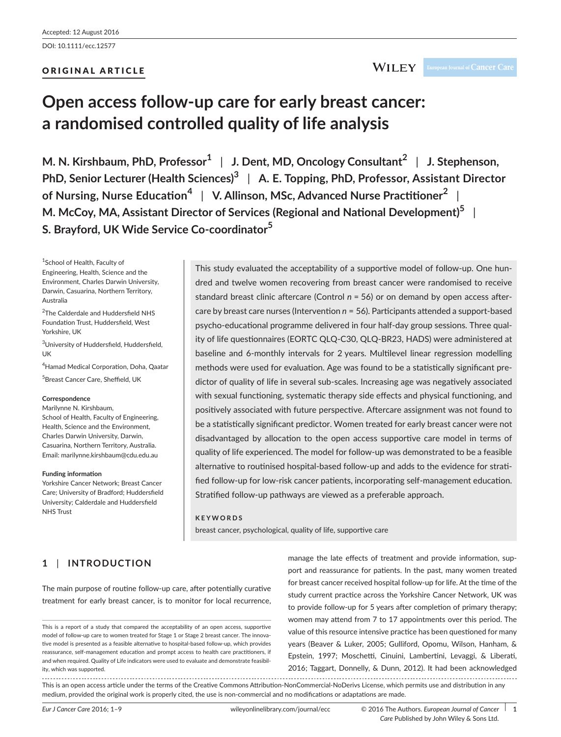DOI: 10.1111/ecc.12577

### ORIGINAL ARTICLE

# **Open access follow-up care for early breast cancer: a randomised controlled quality of life analysis**

**M. N. Kirshbaum, PhD, Professor<sup>1</sup>** | **J. Dent, MD, Oncology Consultant<sup>2</sup>** | **J. Stephenson, PhD, Senior Lecturer (Health Sciences)<sup>3</sup>** | **A. E. Topping, PhD, Professor, Assistant Director of Nursing, Nurse Education<sup>4</sup>** | **V. Allinson, MSc, Advanced Nurse Practitioner<sup>2</sup>** | **M. McCoy, MA, Assistant Director of Services (Regional and National Development)<sup>5</sup>** | **S. Brayford, UK Wide Service Co-coordinator<sup>5</sup>**

1 School of Health, Faculty of Engineering, Health, Science and the Environment, Charles Darwin University, Darwin, Casuarina, Northern Territory, Australia

<sup>2</sup>The Calderdale and Huddersfield NHS Foundation Trust, Huddersfield, West Yorkshire, UK

<sup>3</sup>University of Huddersfield, Huddersfield, UK

4 Hamad Medical Corporation, Doha, Qaatar 5 Breast Cancer Care, Sheffield, UK

#### **Correspondence**

Marilynne N. Kirshbaum, School of Health, Faculty of Engineering, Health, Science and the Environment, Charles Darwin University, Darwin, Casuarina, Northern Territory, Australia. Email: [marilynne.kirshbaum@cdu.edu.au](mailto:marilynne.kirshbaum@cdu.edu.au)

#### **Funding information**

Yorkshire Cancer Network; Breast Cancer Care; University of Bradford; Huddersfield University; Calderdale and Huddersfield NHS Trust

This study evaluated the acceptability of a supportive model of follow-up. One hundred and twelve women recovering from breast cancer were randomised to receive standard breast clinic aftercare (Control *n* = 56) or on demand by open access aftercare by breast care nurses (Intervention *n* = 56). Participants attended a support-based psycho-educational programme delivered in four half-day group sessions. Three quality of life questionnaires (EORTC QLQ-C30, QLQ-BR23, HADS) were administered at baseline and 6-monthly intervals for 2 years. Multilevel linear regression modelling methods were used for evaluation. Age was found to be a statistically significant predictor of quality of life in several sub-scales. Increasing age was negatively associated with sexual functioning, systematic therapy side effects and physical functioning, and positively associated with future perspective. Aftercare assignment was not found to be a statistically significant predictor. Women treated for early breast cancer were not disadvantaged by allocation to the open access supportive care model in terms of quality of life experienced. The model for follow-up was demonstrated to be a feasible alternative to routinised hospital-based follow-up and adds to the evidence for stratified follow-up for low-risk cancer patients, incorporating self-management education. Stratified follow-up pathways are viewed as a preferable approach.

#### **KEYWORDS**

breast cancer, psychological, quality of life, supportive care

# **1** | **INTRODUCTION**

The main purpose of routine follow-up care, after potentially curative treatment for early breast cancer, is to monitor for local recurrence, manage the late effects of treatment and provide information, support and reassurance for patients. In the past, many women treated for breast cancer received hospital follow-up for life. At the time of the study current practice across the Yorkshire Cancer Network, UK was to provide follow-up for 5 years after completion of primary therapy; women may attend from 7 to 17 appointments over this period. The value of this resource intensive practice has been questioned for many years (Beaver & Luker, 2005; Gulliford, Opomu, Wilson, Hanham, & Epstein, 1997; Moschetti, Cinuini, Lambertini, Levaggi, & Liberati, 2016; Taggart, Donnelly, & Dunn, 2012). It had been acknowledged

This is an open access article under the terms of the [Creative Commons Attribution-NonCommercial-NoDerivs](http://creativecommons.org/licenses/by-nc-nd/4.0/) License, which permits use and distribution in any medium, provided the original work is properly cited, the use is non-commercial and no modifications or adaptations are made.

This is a report of a study that compared the acceptability of an open access, supportive model of follow-up care to women treated for Stage 1 or Stage 2 breast cancer. The innovative model is presented as a feasible alternative to hospital-based follow-up, which provides reassurance, self-management education and prompt access to health care practitioners, if and when required. Quality of Life indicators were used to evaluate and demonstrate feasibility, which was supported.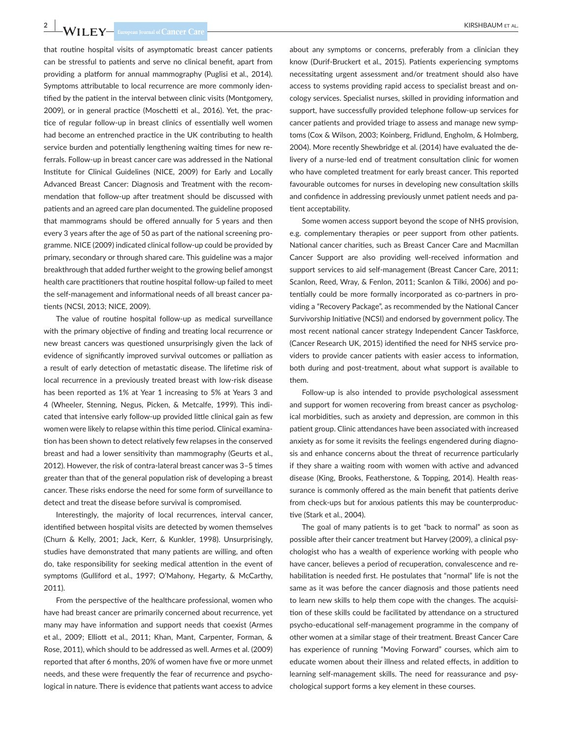# **2 |**  KIRSHBAUM et al.

that routine hospital visits of asymptomatic breast cancer patients can be stressful to patients and serve no clinical benefit, apart from providing a platform for annual mammography (Puglisi et al., 2014). Symptoms attributable to local recurrence are more commonly identified by the patient in the interval between clinic visits (Montgomery, 2009), or in general practice (Moschetti et al., 2016). Yet, the practice of regular follow-up in breast clinics of essentially well women had become an entrenched practice in the UK contributing to health service burden and potentially lengthening waiting times for new referrals. Follow-up in breast cancer care was addressed in the National Institute for Clinical Guidelines (NICE, 2009) for Early and Locally Advanced Breast Cancer: Diagnosis and Treatment with the recommendation that follow-up after treatment should be discussed with patients and an agreed care plan documented. The guideline proposed that mammograms should be offered annually for 5 years and then every 3 years after the age of 50 as part of the national screening programme. NICE (2009) indicated clinical follow-up could be provided by primary, secondary or through shared care. This guideline was a major breakthrough that added further weight to the growing belief amongst health care practitioners that routine hospital follow-up failed to meet the self-management and informational needs of all breast cancer patients (NCSI, 2013; NICE, 2009).

The value of routine hospital follow-up as medical surveillance with the primary objective of finding and treating local recurrence or new breast cancers was questioned unsurprisingly given the lack of evidence of significantly improved survival outcomes or palliation as a result of early detection of metastatic disease. The lifetime risk of local recurrence in a previously treated breast with low-risk disease has been reported as 1% at Year 1 increasing to 5% at Years 3 and 4 (Wheeler, Stenning, Negus, Picken, & Metcalfe, 1999). This indicated that intensive early follow-up provided little clinical gain as few women were likely to relapse within this time period. Clinical examination has been shown to detect relatively few relapses in the conserved breast and had a lower sensitivity than mammography (Geurts et al., 2012). However, the risk of contra-lateral breast cancer was 3–5 times greater than that of the general population risk of developing a breast cancer. These risks endorse the need for some form of surveillance to detect and treat the disease before survival is compromised.

Interestingly, the majority of local recurrences, interval cancer, identified between hospital visits are detected by women themselves (Churn & Kelly, 2001; Jack, Kerr, & Kunkler, 1998). Unsurprisingly, studies have demonstrated that many patients are willing, and often do, take responsibility for seeking medical attention in the event of symptoms (Gulliford et al., 1997; O'Mahony, Hegarty, & McCarthy, 2011).

From the perspective of the healthcare professional, women who have had breast cancer are primarily concerned about recurrence, yet many may have information and support needs that coexist (Armes et al., 2009; Elliott et al., 2011; Khan, Mant, Carpenter, Forman, & Rose, 2011), which should to be addressed as well. Armes et al. (2009) reported that after 6 months, 20% of women have five or more unmet needs, and these were frequently the fear of recurrence and psychological in nature. There is evidence that patients want access to advice

about any symptoms or concerns, preferably from a clinician they know (Durif-Bruckert et al., 2015). Patients experiencing symptoms necessitating urgent assessment and/or treatment should also have access to systems providing rapid access to specialist breast and oncology services. Specialist nurses, skilled in providing information and support, have successfully provided telephone follow-up services for cancer patients and provided triage to assess and manage new symptoms (Cox & Wilson, 2003; Koinberg, Fridlund, Engholm, & Holmberg, 2004). More recently Shewbridge et al. (2014) have evaluated the delivery of a nurse-led end of treatment consultation clinic for women who have completed treatment for early breast cancer. This reported favourable outcomes for nurses in developing new consultation skills and confidence in addressing previously unmet patient needs and patient acceptability.

Some women access support beyond the scope of NHS provision, e.g. complementary therapies or peer support from other patients. National cancer charities, such as Breast Cancer Care and Macmillan Cancer Support are also providing well-received information and support services to aid self-management (Breast Cancer Care, 2011; Scanlon, Reed, Wray, & Fenlon, 2011; Scanlon & Tilki, 2006) and potentially could be more formally incorporated as co-partners in providing a "Recovery Package", as recommended by the National Cancer Survivorship Initiative (NCSI) and endorsed by government policy. The most recent national cancer strategy Independent Cancer Taskforce, (Cancer Research UK, 2015) identified the need for NHS service providers to provide cancer patients with easier access to information, both during and post-treatment, about what support is available to them.

Follow-up is also intended to provide psychological assessment and support for women recovering from breast cancer as psychological morbidities, such as anxiety and depression, are common in this patient group. Clinic attendances have been associated with increased anxiety as for some it revisits the feelings engendered during diagnosis and enhance concerns about the threat of recurrence particularly if they share a waiting room with women with active and advanced disease (King, Brooks, Featherstone, & Topping, 2014). Health reassurance is commonly offered as the main benefit that patients derive from check-ups but for anxious patients this may be counterproductive (Stark et al., 2004).

The goal of many patients is to get "back to normal" as soon as possible after their cancer treatment but Harvey (2009), a clinical psychologist who has a wealth of experience working with people who have cancer, believes a period of recuperation, convalescence and rehabilitation is needed first. He postulates that "normal" life is not the same as it was before the cancer diagnosis and those patients need to learn new skills to help them cope with the changes. The acquisition of these skills could be facilitated by attendance on a structured psycho-educational self-management programme in the company of other women at a similar stage of their treatment. Breast Cancer Care has experience of running "Moving Forward" courses, which aim to educate women about their illness and related effects, in addition to learning self-management skills. The need for reassurance and psychological support forms a key element in these courses.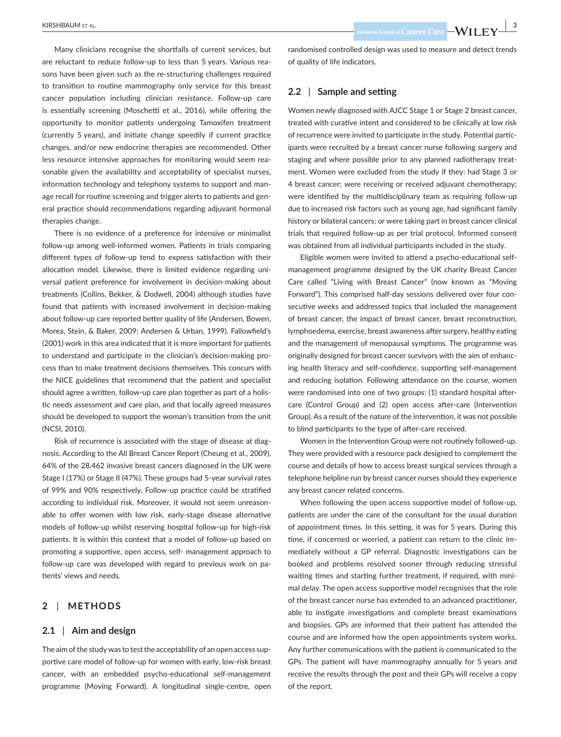Many clinicians recognise the shortfalls of current services, but are reluctant to reduce follow-up to less than 5 years. Various reasons have been given such as the re-structuring challenges required to transition to routine mammography only service for this breast cancer population including clinician resistance. Follow-up care is essentially screening (Moschetti et al., 2016), while offering the opportunity to monitor patients undergoing Tamoxifen treatment (currently 5 years), and initiate change speedily if current practice changes, and/or new endocrine therapies are recommended. Other less resource intensive approaches for monitoring would seem reasonable given the availability and acceptability of specialist nurses, information technology and telephony systems to support and manage recall for routine screening and trigger alerts to patients and general practice should recommendations regarding adjuvant hormonal therapies change.

There is no evidence of a preference for intensive or minimalist follow-up among well-informed women. Patients in trials comparing different types of follow-up tend to express satisfaction with their allocation model. Likewise, there is limited evidence regarding universal patient preference for involvement in decision-making about treatments (Collins, Bekker, & Dodwell, 2004) although studies have found that patients with increased involvement in decision-making about follow-up care reported better quality of life (Andersen, Bowen, Morea, Stein, & Baker, 2009; Andersen & Urban, 1999). Fallowfield's (2001) work in this area indicated that it is more important for patients to understand and participate in the clinician's decision-making process than to make treatment decisions themselves. This concurs with the NICE guidelines that recommend that the patient and specialist should agree a written, follow-up care plan together as part of a holistic needs assessment and care plan, and that locally agreed measures should be developed to support the woman's transition from the unit (NCSI, 2010).

Risk of recurrence is associated with the stage of disease at diagnosis. According to the All Breast Cancer Report (Cheung et al., 2009), 64% of the 28,462 invasive breast cancers diagnosed in the UK were Stage I (17%) or Stage II (47%). These groups had 5-year survival rates of 99% and 90% respectively. Follow-up practice could be stratified according to individual risk. Moreover, it would not seem unreasonable to offer women with low risk, early-stage disease alternative models of follow-up whilst reserving hospital follow-up for high-risk patients. It is within this context that a model of follow-up based on promoting a supportive, open access, self- management approach to follow-up care was developed with regard to previous work on patients' views and needs.

## **2** | **METHODS**

#### **2.1** | **Aim and design**

The aim of the study was to test the acceptability of an open access supportive care model of follow-up for women with early, low-risk breast cancer, with an embedded psycho-educational self-management programme (Moving Forward). A longitudinal single-centre, open

randomised controlled design was used to measure and detect trends of quality of life indicators.

#### **2.2** | **Sample and setting**

Women newly diagnosed with AJCC Stage 1 or Stage 2 breast cancer, treated with curative intent and considered to be clinically at low risk of recurrence were invited to participate in the study. Potential participants were recruited by a breast cancer nurse following surgery and staging and where possible prior to any planned radiotherapy treatment. Women were excluded from the study if they: had Stage 3 or 4 breast cancer; were receiving or received adjuvant chemotherapy; were identified by the multidisciplinary team as requiring follow-up due to increased risk factors such as young age, had significant family history or bilateral cancers; or were taking part in breast cancer clinical trials that required follow-up as per trial protocol. Informed consent was obtained from all individual participants included in the study.

Eligible women were invited to attend a psycho-educational selfmanagement programme designed by the UK charity Breast Cancer Care called "Living with Breast Cancer" (now known as "Moving Forward"). This comprised half-day sessions delivered over four consecutive weeks and addressed topics that included the management of breast cancer, the impact of breast cancer, breast reconstruction, lymphoedema, exercise, breast awareness after surgery, healthy eating and the management of menopausal symptoms. The programme was originally designed for breast cancer survivors with the aim of enhancing health literacy and self-confidence, supporting self-management and reducing isolation. Following attendance on the course, women were randomised into one of two groups: (1) standard hospital aftercare (Control Group) and (2) open access after-care (Intervention Group). As a result of the nature of the intervention, it was not possible to blind participants to the type of after-care received.

Women in the Intervention Group were not routinely followed-up. They were provided with a resource pack designed to complement the course and details of how to access breast surgical services through a telephone helpline run by breast cancer nurses should they experience any breast cancer related concerns.

When following the open access supportive model of follow-up, patients are under the care of the consultant for the usual duration of appointment times. In this setting, it was for 5 years. During this time, if concerned or worried, a patient can return to the clinic immediately without a GP referral. Diagnostic investigations can be booked and problems resolved sooner through reducing stressful waiting times and starting further treatment, if required, with minimal delay. The open access supportive model recognises that the role of the breast cancer nurse has extended to an advanced practitioner, able to instigate investigations and complete breast examinations and biopsies. GPs are informed that their patient has attended the course and are informed how the open appointments system works. Any further communications with the patient is communicated to the GPs. The patient will have mammography annually for 5 years and receive the results through the post and their GPs will receive a copy of the report.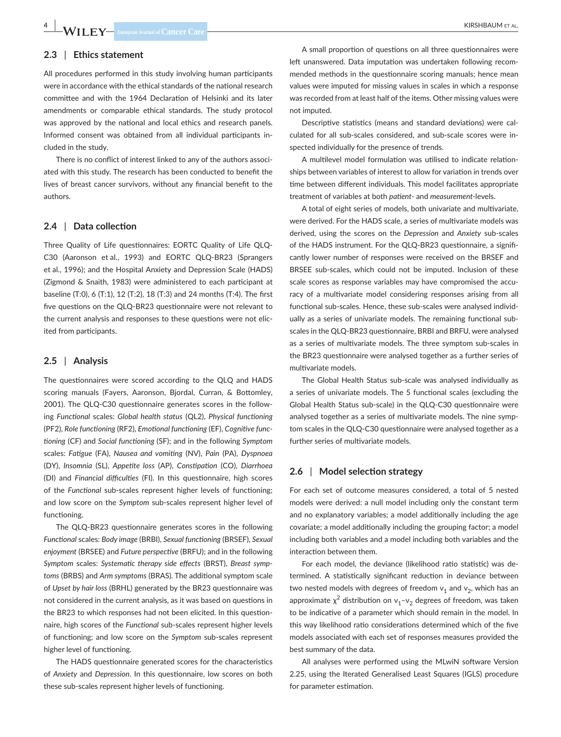**4 WILEY Example an** Journal of Cancer Care **Cancer Care Report Constant Construction** 

### **2.3** | **Ethics statement**

All procedures performed in this study involving human participants were in accordance with the ethical standards of the national research committee and with the 1964 Declaration of Helsinki and its later amendments or comparable ethical standards. The study protocol was approved by the national and local ethics and research panels. Informed consent was obtained from all individual participants included in the study.

There is no conflict of interest linked to any of the authors associated with this study. The research has been conducted to benefit the lives of breast cancer survivors, without any financial benefit to the authors.

#### **2.4** | **Data collection**

Three Quality of Life questionnaires: EORTC Quality of Life QLQ-C30 (Aaronson et al., 1993) and EORTC QLQ-BR23 (Sprangers et al., 1996); and the Hospital Anxiety and Depression Scale (HADS) (Zigmond & Snaith, 1983) were administered to each participant at baseline (T:0), 6 (T:1), 12 (T:2), 18 (T:3) and 24 months (T:4). The first five questions on the QLQ-BR23 questionnaire were not relevant to the current analysis and responses to these questions were not elicited from participants.

#### **2.5** | **Analysis**

The questionnaires were scored according to the QLQ and HADS scoring manuals (Fayers, Aaronson, Bjordal, Curran, & Bottomley, 2001). The QLQ-C30 questionnaire generates scores in the following *Functional* scales: *Global health status* (QL2), *Physical functioning* (PF2), *Role functioning* (RF2), *Emotional functioning* (EF), *Cognitive functioning* (CF) and *Social functioning* (SF); and in the following *Symptom* scales: *Fatigue* (FA), *Nausea and vomiting* (NV), *Pain* (PA), *Dyspnoea* (DY), *Insomnia* (SL), *Appetite loss* (AP), *Constipation* (CO), *Diarrhoea* (DI) and *Financial difficulties* (FI). In this questionnaire, high scores of the *Functional* sub-scales represent higher levels of functioning; and low score on the *Symptom* sub-scales represent higher level of functioning.

The QLQ-BR23 questionnaire generates scores in the following *Functional* scales: *Body image* (BRBI), *Sexual functioning* (BRSEF), *Sexual enjoyment* (BRSEE) and *Future perspective* (BRFU); and in the following *Symptom* scales: *Systematic therapy side effects* (BRST), *Breast symptoms* (BRBS) and *Arm symptoms* (BRAS). The additional symptom scale of *Upset by hair loss* (BRHL) generated by the BR23 questionnaire was not considered in the current analysis, as it was based on questions in the BR23 to which responses had not been elicited. In this questionnaire, high scores of the *Functional* sub-scales represent higher levels of functioning; and low score on the *Symptom* sub-scales represent higher level of functioning.

The HADS questionnaire generated scores for the characteristics of *Anxiety* and *Depression*. In this questionnaire, low scores on both these sub-scales represent higher levels of functioning.

A small proportion of questions on all three questionnaires were left unanswered. Data imputation was undertaken following recommended methods in the questionnaire scoring manuals; hence mean values were imputed for missing values in scales in which a response was recorded from at least half of the items. Other missing values were not imputed.

Descriptive statistics (means and standard deviations) were calculated for all sub-scales considered, and sub-scale scores were inspected individually for the presence of trends.

A multilevel model formulation was utilised to indicate relationships between variables of interest to allow for variation in trends over time between different individuals. This model facilitates appropriate treatment of variables at both *patient-* and *measurement-*levels.

A total of eight series of models, both univariate and multivariate, were derived. For the HADS scale, a series of multivariate models was derived, using the scores on the *Depression* and *Anxiety* sub-scales of the HADS instrument. For the QLQ-BR23 questionnaire, a significantly lower number of responses were received on the BRSEF and BRSEE sub-scales, which could not be imputed. Inclusion of these scale scores as response variables may have compromised the accuracy of a multivariate model considering responses arising from all functional sub-scales. Hence, these sub-scales were analysed individually as a series of univariate models. The remaining functional subscales in the QLQ-BR23 questionnaire, BRBI and BRFU, were analysed as a series of multivariate models. The three symptom sub-scales in the BR23 questionnaire were analysed together as a further series of multivariate models.

The Global Health Status sub-scale was analysed individually as a series of univariate models. The 5 functional scales (excluding the Global Health Status sub-scale) in the QLQ-C30 questionnaire were analysed together as a series of multivariate models. The nine symptom scales in the QLQ-C30 questionnaire were analysed together as a further series of multivariate models.

#### **2.6** | **Model selection strategy**

For each set of outcome measures considered, a total of 5 nested models were derived: a null model including only the constant term and no explanatory variables; a model additionally including the age covariate; a model additionally including the grouping factor; a model including both variables and a model including both variables and the interaction between them.

For each model, the deviance (likelihood ratio statistic) was determined. A statistically significant reduction in deviance between two nested models with degrees of freedom  $v_1$  and  $v_2$ , which has an approximate  $\chi^2$  distribution on  $v_1$ - $v_2$  degrees of freedom, was taken to be indicative of a parameter which should remain in the model. In this way likelihood ratio considerations determined which of the five models associated with each set of responses measures provided the best summary of the data.

All analyses were performed using the MLwiN software Version 2.25, using the Iterated Generalised Least Squares (IGLS) procedure for parameter estimation.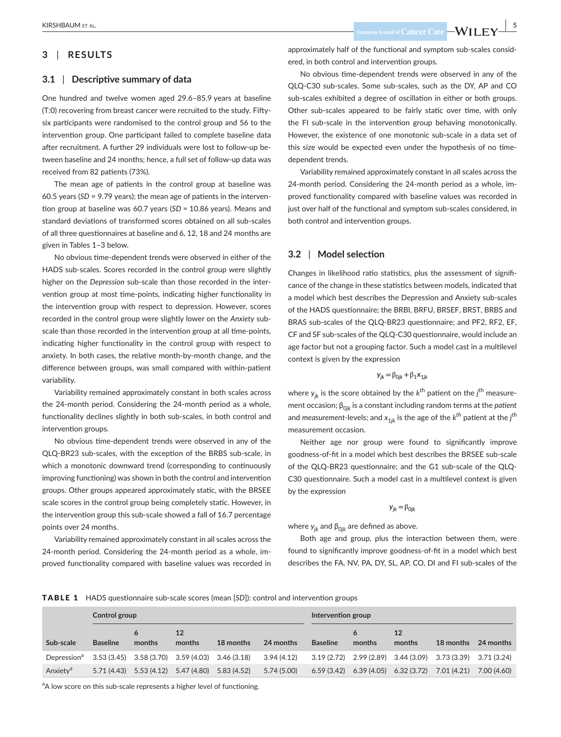# **3** | **RESULTS**

#### **3.1** | **Descriptive summary of data**

One hundred and twelve women aged 29.6–85.9 years at baseline (T:0) recovering from breast cancer were recruited to the study. Fiftysix participants were randomised to the control group and 56 to the intervention group. One participant failed to complete baseline data after recruitment. A further 29 individuals were lost to follow-up between baseline and 24 months; hence, a full set of follow-up data was received from 82 patients (73%).

The mean age of patients in the control group at baseline was 60.5 years (*SD* = 9.79 years); the mean age of patients in the intervention group at baseline was 60.7 years (*SD* = 10.86 years). Means and standard deviations of transformed scores obtained on all sub-scales of all three questionnaires at baseline and 6, 12, 18 and 24 months are given in Tables 1–3 below.

No obvious time-dependent trends were observed in either of the HADS sub-scales. Scores recorded in the control group were slightly higher on the *Depression* sub-scale than those recorded in the intervention group at most time-points, indicating higher functionality in the intervention group with respect to depression. However, scores recorded in the control group were slightly lower on the *Anxiety* subscale than those recorded in the intervention group at all time-points, indicating higher functionality in the control group with respect to anxiety. In both cases, the relative month-by-month change, and the difference between groups, was small compared with within-patient variability.

Variability remained approximately constant in both scales across the 24-month period. Considering the 24-month period as a whole, functionality declines slightly in both sub-scales, in both control and intervention groups.

No obvious time-dependent trends were observed in any of the QLQ-BR23 sub-scales, with the exception of the BRBS sub-scale, in which a monotonic downward trend (corresponding to continuously improving functioning) was shown in both the control and intervention groups. Other groups appeared approximately static, with the BRSEE scale scores in the control group being completely static. However, in the intervention group this sub-scale showed a fall of 16.7 percentage points over 24 months.

Variability remained approximately constant in all scales across the 24-month period. Considering the 24-month period as a whole, improved functionality compared with baseline values was recorded in approximately half of the functional and symptom sub-scales considered, in both control and intervention groups.

No obvious time-dependent trends were observed in any of the QLQ-C30 sub-scales. Some sub-scales, such as the DY, AP and CO sub-scales exhibited a degree of oscillation in either or both groups. Other sub-scales appeared to be fairly static over time, with only the FI sub-scale in the intervention group behaving monotonically. However, the existence of one monotonic sub-scale in a data set of this size would be expected even under the hypothesis of no timedependent trends.

Variability remained approximately constant in all scales across the 24-month period. Considering the 24-month period as a whole, improved functionality compared with baseline values was recorded in just over half of the functional and symptom sub-scales considered, in both control and intervention groups.

#### **3.2** | **Model selection**

Changes in likelihood ratio statistics, plus the assessment of significance of the change in these statistics between models, indicated that a model which best describes the Depression and Anxiety sub-scales of the HADS questionnaire; the BRBI, BRFU, BRSEF, BRST, BRBS and BRAS sub-scales of the QLQ-BR23 questionnaire; and PF2, RF2, EF, CF and SF sub-scales of the QLQ-C30 questionnaire, would include an age factor but not a grouping factor. Such a model cast in a multilevel context is given by the expression

$$
y_{jk} = \beta_{0jk} + \beta_1 x_{1jk}
$$

where  $y_{jk}$  is the score obtained by the  $k^{\text{th}}$  patient on the  $j^{\text{th}}$  measurement occasion; β<sub>0*jk*</sub> is a constant including random terms at the *patient* and *measurement-*levels; and *x*1*jk* is the age of the *kth* patient at the *<sup>j</sup> th* measurement occasion.

Neither age nor group were found to significantly improve goodness-of-fit in a model which best describes the BRSEE sub-scale of the QLQ-BR23 questionnaire; and the G1 sub-scale of the QLQ-C30 questionnaire. Such a model cast in a multilevel context is given by the expression

#### $y_{ik} = \beta_{0ik}$

where  $y_{jk}$  and  $β_{0jk}$  are defined as above.

Both age and group, plus the interaction between them, were found to significantly improve goodness-of-fit in a model which best describes the FA, NV, PA, DY, SL, AP, CO, DI and FI sub-scales of the

#### TABLE 1 HADS questionnaire sub-scale scores (mean [*SD*]): control and intervention groups

|                         | Control group   |                           |                                                     |             |             | Intervention group |                         |                           |                         |             |
|-------------------------|-----------------|---------------------------|-----------------------------------------------------|-------------|-------------|--------------------|-------------------------|---------------------------|-------------------------|-------------|
| Sub-scale               | <b>Baseline</b> | months                    | 12<br>months                                        | 18 months   | 24 months   | <b>Baseline</b>    | months                  | 12<br>months              | 18 months               | 24 months   |
| Depression <sup>d</sup> |                 |                           | $3.53(3.45)$ $3.58(3.70)$ $3.59(4.03)$ $3.46(3.18)$ |             | 3.94 (4.12) | 3.19 (2.72)        | 2.99 (2.89) 3.44 (3.09) |                           | 3.73 (3.39) 3.71 (3.24) |             |
| Anxietv <sup>a</sup>    |                 | $5.71(4.43)$ $5.53(4.12)$ | 5.47 (4.80)                                         | 5.83 (4.52) | 5.74 (5.00) | 6.59(3.42)         |                         | $6.39(4.05)$ $6.32(3.72)$ | 7.01 (4.21)             | 7.00 (4.60) |

<sup>a</sup>A low score on this sub-scale represents a higher level of functioning.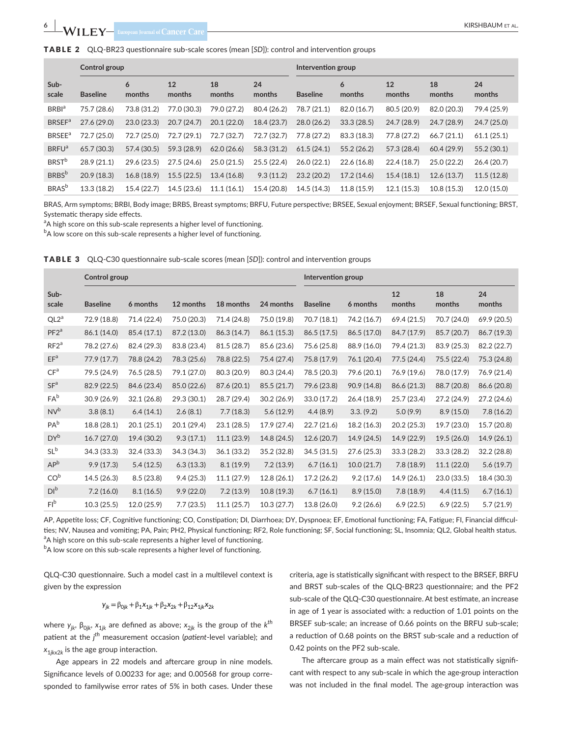**Control group** 

**Sub-**

**6 |**  KIRSHBAUM et al.

TABLE 2 QLQ-BR23 questionnaire sub-

| ub-scale scores (mean [SD]): control and intervention groups ( |              |              |                 |        |              |              |              |  |  |  |
|----------------------------------------------------------------|--------------|--------------|-----------------|--------|--------------|--------------|--------------|--|--|--|
| Intervention group                                             |              |              |                 |        |              |              |              |  |  |  |
| nths                                                           | 18<br>months | 24<br>months | <b>Raseline</b> | months | 12<br>months | 18<br>months | 24<br>months |  |  |  |

| Sub-<br>scale             | <b>Baseline</b> | months      | 12<br>months | 18<br>months | 24<br>months | <b>Baseline</b> | months      | 12<br>months | 18<br>months | 24<br>months |
|---------------------------|-----------------|-------------|--------------|--------------|--------------|-----------------|-------------|--------------|--------------|--------------|
| <b>BRBI</b> <sup>a</sup>  | 75.7 (28.6)     | 73.8 (31.2) | 77.0 (30.3)  | 79.0 (27.2)  | 80.4 (26.2)  | 78.7 (21.1)     | 82.0 (16.7) | 80.5 (20.9)  | 82.0 (20.3)  | 79.4 (25.9)  |
| <b>BRSEF</b> <sup>a</sup> | 27.6(29.0)      | 23.0(23.3)  | 20.7(24.7)   | 20.1(22.0)   | 18.4 (23.7)  | 28.0(26.2)      | 33.3(28.5)  | 24.7 (28.9)  | 24.7 (28.9)  | 24.7(25.0)   |
| <b>BRSEE</b> <sup>a</sup> | 72.7 (25.0)     | 72.7 (25.0) | 72.7 (29.1)  | 72.7 (32.7)  | 72.7 (32.7)  | 77.8 (27.2)     | 83.3 (18.3) | 77.8 (27.2)  | 66.7(21.1)   | 61.1(25.1)   |
| <b>BRFU</b> <sup>a</sup>  | 65.7 (30.3)     | 57.4 (30.5) | 59.3 (28.9)  | 62.0(26.6)   | 58.3 (31.2)  | 61.5(24.1)      | 55.2(26.2)  | 57.3 (28.4)  | 60.4(29.9)   | 55.2(30.1)   |
| <b>BRST</b> <sup>b</sup>  | 28.9 (21.1)     | 29.6(23.5)  | 27.5 (24.6)  | 25.0 (21.5)  | 25.5(22.4)   | 26.0(22.1)      | 22.6 (16.8) | 22.4(18.7)   | 25.0 (22.2)  | 26.4 (20.7)  |
| <b>BRBS</b> <sup>b</sup>  | 20.9 (18.3)     | 16.8(18.9)  | 15.5(22.5)   | 13.4 (16.8)  | 9.3(11.2)    | 23.2(20.2)      | 17.2 (14.6) | 15.4(18.1)   | 12.6(13.7)   | 11.5(12.8)   |
| <b>BRAS</b> <sup>b</sup>  | 13.3(18.2)      | 15.4 (22.7) | 14.5(23.6)   | 11.1(16.1)   | 15.4 (20.8)  | 14.5(14.3)      | 11.8(15.9)  | 12.1(15.3)   | 10.8(15.3)   | 12.0(15.0)   |

BRAS, Arm symptoms; BRBI, Body image; BRBS, Breast symptoms; BRFU, Future perspective; BRSEE, Sexual enjoyment; BRSEF, Sexual functioning; BRST, Systematic therapy side effects.

<sup>a</sup>A high score on this sub-scale represents a higher level of functioning.

 $^{\rm b}$ A low score on this sub-scale represents a higher level of functioning.

TABLE 3 QLQ-C30 questionnaire sub-scale scores (mean [*SD*]): control and intervention groups

|                  | Control group   |             |             |             |             | Intervention group |             |              |              |              |
|------------------|-----------------|-------------|-------------|-------------|-------------|--------------------|-------------|--------------|--------------|--------------|
| Sub-<br>scale    | <b>Baseline</b> | 6 months    | 12 months   | 18 months   | 24 months   | <b>Baseline</b>    | 6 months    | 12<br>months | 18<br>months | 24<br>months |
| QL2 <sup>a</sup> | 72.9 (18.8)     | 71.4 (22.4) | 75.0 (20.3) | 71.4 (24.8) | 75.0 (19.8) | 70.7 (18.1)        | 74.2 (16.7) | 69.4 (21.5)  | 70.7 (24.0)  | 69.9 (20.5)  |
| PF2 <sup>a</sup> | 86.1 (14.0)     | 85.4 (17.1) | 87.2 (13.0) | 86.3 (14.7) | 86.1 (15.3) | 86.5 (17.5)        | 86.5 (17.0) | 84.7 (17.9)  | 85.7 (20.7)  | 86.7 (19.3)  |
| RF2 <sup>a</sup> | 78.2 (27.6)     | 82.4 (29.3) | 83.8 (23.4) | 81.5 (28.7) | 85.6 (23.6) | 75.6 (25.8)        | 88.9 (16.0) | 79.4 (21.3)  | 83.9 (25.3)  | 82.2 (22.7)  |
| EF <sup>a</sup>  | 77.9 (17.7)     | 78.8 (24.2) | 78.3 (25.6) | 78.8 (22.5) | 75.4 (27.4) | 75.8 (17.9)        | 76.1 (20.4) | 77.5 (24.4)  | 75.5 (22.4)  | 75.3 (24.8)  |
| CF <sup>a</sup>  | 79.5 (24.9)     | 76.5 (28.5) | 79.1 (27.0) | 80.3 (20.9) | 80.3 (24.4) | 78.5 (20.3)        | 79.6 (20.1) | 76.9 (19.6)  | 78.0 (17.9)  | 76.9 (21.4)  |
| SF <sup>a</sup>  | 82.9 (22.5)     | 84.6 (23.4) | 85.0 (22.6) | 87.6 (20.1) | 85.5 (21.7) | 79.6 (23.8)        | 90.9 (14.8) | 86.6 (21.3)  | 88.7 (20.8)  | 86.6 (20.8)  |
| $FA^b$           | 30.9(26.9)      | 32.1(26.8)  | 29.3 (30.1) | 28.7 (29.4) | 30.2(26.9)  | 33.0(17.2)         | 26.4(18.9)  | 25.7 (23.4)  | 27.2 (24.9)  | 27.2(24.6)   |
| NV <sup>b</sup>  | 3.8(8.1)        | 6.4(14.1)   | 2.6(8.1)    | 7.7(18.3)   | 5.6(12.9)   | 4.4(8.9)           | 3.3. (9.2)  | 5.0(9.9)     | 8.9(15.0)    | 7.8(16.2)    |
| $PA^b$           | 18.8 (28.1)     | 20.1(25.1)  | 20.1 (29.4) | 23.1(28.5)  | 17.9 (27.4) | 22.7 (21.6)        | 18.2 (16.3) | 20.2(25.3)   | 19.7 (23.0)  | 15.7 (20.8)  |
| $DY^b$           | 16.7(27.0)      | 19.4 (30.2) | 9.3(17.1)   | 11.1(23.9)  | 14.8 (24.5) | 12.6 (20.7)        | 14.9 (24.5) | 14.9 (22.9)  | 19.5 (26.0)  | 14.9(26.1)   |
| $SL^b$           | 34.3 (33.3)     | 32.4 (33.3) | 34.3 (34.3) | 36.1(33.2)  | 35.2 (32.8) | 34.5 (31.5)        | 27.6 (25.3) | 33.3(28.2)   | 33.3 (28.2)  | 32.2(28.8)   |
| AP <sup>b</sup>  | 9.9(17.3)       | 5.4(12.5)   | 6.3(13.3)   | 8.1(19.9)   | 7.2(13.9)   | 6.7(16.1)          | 10.0(21.7)  | 7.8(18.9)    | 11.1(22.0)   | 5.6(19.7)    |
| CO <sup>b</sup>  | 14.5(26.3)      | 8.5(23.8)   | 9.4(25.3)   | 11.1(27.9)  | 12.8(26.1)  | 17.2 (26.2)        | 9.2(17.6)   | 14.9 (26.1)  | 23.0 (33.5)  | 18.4 (30.3)  |
| DI <sup>b</sup>  | 7.2(16.0)       | 8.1(16.5)   | 9.9(22.0)   | 7.2(13.9)   | 10.8(19.3)  | 6.7(16.1)          | 8.9(15.0)   | 7.8(18.9)    | 4.4(11.5)    | 6.7(16.1)    |
| Fl <sup>b</sup>  | 10.3(25.5)      | 12.0(25.9)  | 7.7(23.5)   | 11.1(25.7)  | 10.3(27.7)  | 13.8 (26.0)        | 9.2(26.6)   | 6.9(22.5)    | 6.9(22.5)    | 5.7(21.9)    |

AP, Appetite loss; CF, Cognitive functioning; CO, Constipation; DI, Diarrhoea; DY, Dyspnoea; EF, Emotional functioning; FA, Fatigue; FI, Financial difficulties; NV, Nausea and vomiting; PA, Pain; PH2, Physical functioning; RF2, Role functioning; SF, Social functioning; SL, Insomnia; QL2, Global health status. <sup>a</sup>A high score on this sub-scale represents a higher level of functioning.

 $^{\rm b}$ A low score on this sub-scale represents a higher level of functioning.

QLQ-C30 questionnaire. Such a model cast in a multilevel context is given by the expression

#### $y_{jk} = \beta_{0jk} + \beta_1 x_{1jk} + \beta_2 x_{2k} + \beta_{12} x_{1jk} x_{2k}$

where  $y_{jk}$ ,  $\beta_{0jk}$ ,  $x_{1jk}$  are defined as above;  $x_{2jk}$  is the group of the  $k^{th}$ patient at the *j th* measurement occasion (*patient*-level variable); and  $x_{1ikx2k}$  is the age group interaction.

Age appears in 22 models and aftercare group in nine models. Significance levels of 0.00233 for age; and 0.00568 for group corresponded to familywise error rates of 5% in both cases. Under these criteria, age is statistically significant with respect to the BRSEF, BRFU and BRST sub-scales of the QLQ-BR23 questionnaire; and the PF2 sub-scale of the QLQ-C30 questionnaire. At best estimate, an increase in age of 1 year is associated with: a reduction of 1.01 points on the BRSEF sub-scale; an increase of 0.66 points on the BRFU sub-scale; a reduction of 0.68 points on the BRST sub-scale and a reduction of 0.42 points on the PF2 sub-scale.

The aftercare group as a main effect was not statistically significant with respect to any sub-scale in which the age·group interaction was not included in the final model. The age·group interaction was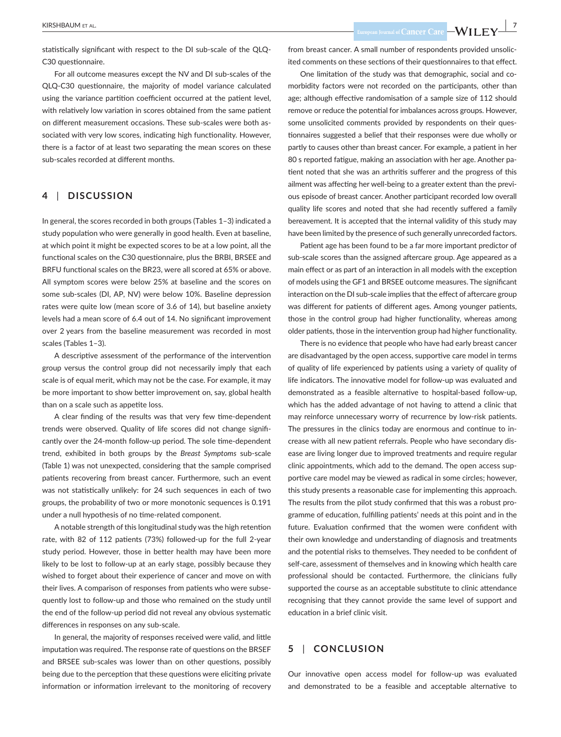**Example 2018** Excopean Journal of Cancer Care  $\frac{1}{2}$  **Cancer Care** 

statistically significant with respect to the DI sub-scale of the QLQ-C30 questionnaire.

For all outcome measures except the NV and DI sub-scales of the QLQ-C30 questionnaire, the majority of model variance calculated using the variance partition coefficient occurred at the patient level, with relatively low variation in scores obtained from the same patient on different measurement occasions. These sub-scales were both associated with very low scores, indicating high functionality. However, there is a factor of at least two separating the mean scores on these sub-scales recorded at different months.

#### **4** | **DISCUSSION**

In general, the scores recorded in both groups (Tables 1–3) indicated a study population who were generally in good health. Even at baseline, at which point it might be expected scores to be at a low point, all the functional scales on the C30 questionnaire, plus the BRBI, BRSEE and BRFU functional scales on the BR23, were all scored at 65% or above. All symptom scores were below 25% at baseline and the scores on some sub-scales (DI, AP, NV) were below 10%. Baseline depression rates were quite low (mean score of 3.6 of 14), but baseline anxiety levels had a mean score of 6.4 out of 14. No significant improvement over 2 years from the baseline measurement was recorded in most scales (Tables 1–3).

A descriptive assessment of the performance of the intervention group versus the control group did not necessarily imply that each scale is of equal merit, which may not be the case. For example, it may be more important to show better improvement on, say, global health than on a scale such as appetite loss.

A clear finding of the results was that very few time-dependent trends were observed. Quality of life scores did not change significantly over the 24-month follow-up period. The sole time-dependent trend, exhibited in both groups by the *Breast Symptoms* sub-scale (Table 1) was not unexpected, considering that the sample comprised patients recovering from breast cancer. Furthermore, such an event was not statistically unlikely: for 24 such sequences in each of two groups, the probability of two or more monotonic sequences is 0.191 under a null hypothesis of no time-related component.

A notable strength of this longitudinal study was the high retention rate, with 82 of 112 patients (73%) followed-up for the full 2-year study period. However, those in better health may have been more likely to be lost to follow-up at an early stage, possibly because they wished to forget about their experience of cancer and move on with their lives. A comparison of responses from patients who were subsequently lost to follow-up and those who remained on the study until the end of the follow-up period did not reveal any obvious systematic differences in responses on any sub-scale.

In general, the majority of responses received were valid, and little imputation was required. The response rate of questions on the BRSEF and BRSEE sub-scales was lower than on other questions, possibly being due to the perception that these questions were eliciting private information or information irrelevant to the monitoring of recovery from breast cancer. A small number of respondents provided unsolicited comments on these sections of their questionnaires to that effect.

One limitation of the study was that demographic, social and comorbidity factors were not recorded on the participants, other than age; although effective randomisation of a sample size of 112 should remove or reduce the potential for imbalances across groups. However, some unsolicited comments provided by respondents on their questionnaires suggested a belief that their responses were due wholly or partly to causes other than breast cancer. For example, a patient in her 80 s reported fatigue, making an association with her age. Another patient noted that she was an arthritis sufferer and the progress of this ailment was affecting her well-being to a greater extent than the previous episode of breast cancer. Another participant recorded low overall quality life scores and noted that she had recently suffered a family bereavement. It is accepted that the internal validity of this study may have been limited by the presence of such generally unrecorded factors.

Patient age has been found to be a far more important predictor of sub-scale scores than the assigned aftercare group. Age appeared as a main effect or as part of an interaction in all models with the exception of models using the GF1 and BRSEE outcome measures. The significant interaction on the DI sub-scale implies that the effect of aftercare group was different for patients of different ages. Among younger patients, those in the control group had higher functionality, whereas among older patients, those in the intervention group had higher functionality.

There is no evidence that people who have had early breast cancer are disadvantaged by the open access, supportive care model in terms of quality of life experienced by patients using a variety of quality of life indicators. The innovative model for follow-up was evaluated and demonstrated as a feasible alternative to hospital-based follow-up, which has the added advantage of not having to attend a clinic that may reinforce unnecessary worry of recurrence by low-risk patients. The pressures in the clinics today are enormous and continue to increase with all new patient referrals. People who have secondary disease are living longer due to improved treatments and require regular clinic appointments, which add to the demand. The open access supportive care model may be viewed as radical in some circles; however, this study presents a reasonable case for implementing this approach. The results from the pilot study confirmed that this was a robust programme of education, fulfilling patients' needs at this point and in the future. Evaluation confirmed that the women were confident with their own knowledge and understanding of diagnosis and treatments and the potential risks to themselves. They needed to be confident of self-care, assessment of themselves and in knowing which health care professional should be contacted. Furthermore, the clinicians fully supported the course as an acceptable substitute to clinic attendance recognising that they cannot provide the same level of support and education in a brief clinic visit.

# **5** | **CONCLUSION**

Our innovative open access model for follow-up was evaluated and demonstrated to be a feasible and acceptable alternative to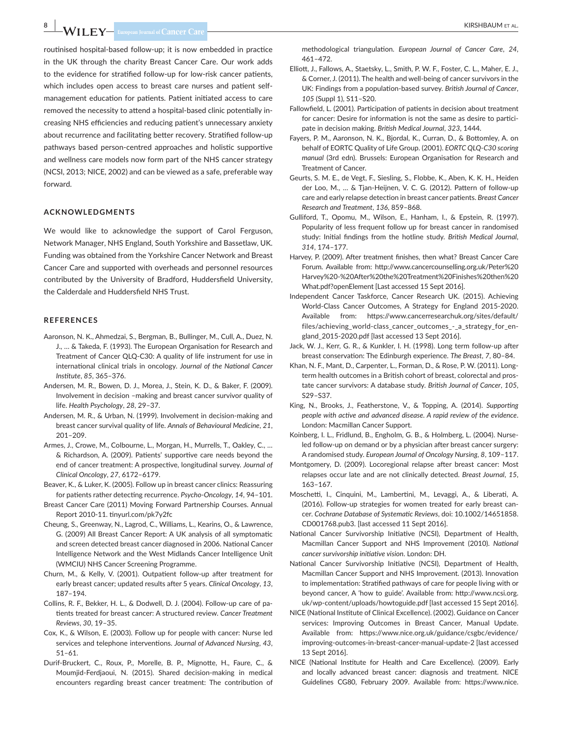# **8 |**  KIRSHBAUM et al.

routinised hospital-based follow-up; it is now embedded in practice in the UK through the charity Breast Cancer Care. Our work adds to the evidence for stratified follow-up for low-risk cancer patients, which includes open access to breast care nurses and patient selfmanagement education for patients. Patient initiated access to care removed the necessity to attend a hospital-based clinic potentially increasing NHS efficiencies and reducing patient's unnecessary anxiety about recurrence and facilitating better recovery. Stratified follow-up pathways based person-centred approaches and holistic supportive and wellness care models now form part of the NHS cancer strategy (NCSI, 2013; NICE, 2002) and can be viewed as a safe, preferable way forward.

#### **ACKNOWLEDGMENTS**

We would like to acknowledge the support of Carol Ferguson, Network Manager, NHS England, South Yorkshire and Bassetlaw, UK. Funding was obtained from the Yorkshire Cancer Network and Breast Cancer Care and supported with overheads and personnel resources contributed by the University of Bradford, Huddersfield University, the Calderdale and Huddersfield NHS Trust.

#### **REFERENCES**

- Aaronson, N. K., Ahmedzai, S., Bergman, B., Bullinger, M., Cull, A., Duez, N. J., … & Takeda, F. (1993). The European Organisation for Research and Treatment of Cancer QLQ-C30: A quality of life instrument for use in international clinical trials in oncology. *Journal of the National Cancer Institute*, *85*, 365–376.
- Andersen, M. R., Bowen, D. J., Morea, J., Stein, K. D., & Baker, F. (2009). Involvement in decision –making and breast cancer survivor quality of life. *Health Psychology*, *28*, 29–37.
- Andersen, M. R., & Urban, N. (1999). Involvement in decision-making and breast cancer survival quality of life. *Annals of Behavioural Medicine*, *21*, 201–209.
- Armes, J., Crowe, M., Colbourne, L., Morgan, H., Murrells, T., Oakley, C., … & Richardson, A. (2009). Patients' supportive care needs beyond the end of cancer treatment: A prospective, longitudinal survey. *Journal of Clinical Oncology*, *27*, 6172–6179.
- Beaver, K., & Luker, K. (2005). Follow up in breast cancer clinics: Reassuring for patients rather detecting recurrence. *Psycho-Oncology*, *14*, 94–101.
- Breast Cancer Care (2011) Moving Forward Partnership Courses. Annual Report 2010-11. tinyurl.com/pk7y2fc
- Cheung, S., Greenway, N., Lagrod, C., Williams, L., Kearins, O., & Lawrence, G. (2009) All Breast Cancer Report: A UK analysis of all symptomatic and screen detected breast cancer diagnosed in 2006. National Cancer Intelligence Network and the West Midlands Cancer Intelligence Unit (WMCIU) NHS Cancer Screening Programme.
- Churn, M., & Kelly, V. (2001). Outpatient follow-up after treatment for early breast cancer; updated results after 5 years. *Clinical Oncology*, *13*, 187–194.
- Collins, R. F., Bekker, H. L., & Dodwell, D. J. (2004). Follow-up care of patients treated for breast cancer: A structured review. *Cancer Treatment Reviews*, *30*, 19–35.
- Cox, K., & Wilson, E. (2003). Follow up for people with cancer: Nurse led services and telephone interventions. *Journal of Advanced Nursing*, *43*, 51–61.
- Durif-Bruckert, C., Roux, P., Morelle, B. P., Mignotte, H., Faure, C., & Moumjid-Ferdjaoui, N. (2015). Shared decision-making in medical encounters regarding breast cancer treatment: The contribution of

methodological triangulation. *European Journal of Cancer Care*, *24*, 461–472.

- Elliott, J., Fallows, A., Staetsky, L., Smith, P. W. F., Foster, C. L., Maher, E. J., & Corner, J. (2011). The health and well-being of cancer survivors in the UK: Findings from a population-based survey. *British Journal of Cancer*, *105* (Suppl 1), S11–S20.
- Fallowfield, L. (2001). Participation of patients in decision about treatment for cancer: Desire for information is not the same as desire to participate in decision making. *British Medical Journal*, *323*, 1444.
- Fayers, P. M., Aaronson, N. K., Bjordal, K., Curran, D., & Bottomley, A. on behalf of EORTC Quality of Life Group. (2001). *EORTC QLQ-C30 scoring manual* (3rd edn). Brussels: European Organisation for Research and Treatment of Cancer.
- Geurts, S. M. E., de Vegt, F., Siesling, S., Flobbe, K., Aben, K. K. H., Heiden der Loo, M., … & Tjan-Heijnen, V. C. G. (2012). Pattern of follow-up care and early relapse detection in breast cancer patients. *Breast Cancer Research and Treatment*, *136*, 859–868.
- Gulliford, T., Opomu, M., Wilson, E., Hanham, I., & Epstein, R. (1997). Popularity of less frequent follow up for breast cancer in randomised study: Initial findings from the hotline study. *British Medical Journal*, *314*, 174–177.
- Harvey, P. (2009). After treatment finishes, then what? Breast Cancer Care Forum. Available from: [http://www.cancercounselling.org.uk/Peter%20](http://www.cancercounselling.org.uk/Peter%2520Harvey%2520-%2520After%2520the%2520Treatment%2520Finishes%2520then%2520What.pdf?openElement) [Harvey%20-%20After%20the%20Treatment%20Finishes%20then%20](http://www.cancercounselling.org.uk/Peter%2520Harvey%2520-%2520After%2520the%2520Treatment%2520Finishes%2520then%2520What.pdf?openElement) [What.pdf?openElement](http://www.cancercounselling.org.uk/Peter%2520Harvey%2520-%2520After%2520the%2520Treatment%2520Finishes%2520then%2520What.pdf?openElement) [Last accessed 15 Sept 2016].
- Independent Cancer Taskforce, Cancer Research UK. (2015). Achieving World-Class Cancer Outcomes, A Strategy for England 2015-2020. Available from: [https://www.cancerresearchuk.org/sites/default/](https://www.cancerresearchuk.org/sites/default/files/achieving_world-class_cancer_outcomes_-_a_strategy_for_england_2015-2020.pdf) [files/achieving\\_world-class\\_cancer\\_outcomes\\_-\\_a\\_strategy\\_for\\_en](https://www.cancerresearchuk.org/sites/default/files/achieving_world-class_cancer_outcomes_-_a_strategy_for_england_2015-2020.pdf)[gland\\_2015-2020.pdf](https://www.cancerresearchuk.org/sites/default/files/achieving_world-class_cancer_outcomes_-_a_strategy_for_england_2015-2020.pdf) [last accessed 13 Sept 2016].
- Jack, W. J., Kerr, G. R., & Kunkler, I. H. (1998). Long term follow-up after breast conservation: The Edinburgh experience. *The Breast*, *7*, 80–84.
- Khan, N. F., Mant, D., Carpenter, L., Forman, D., & Rose, P. W. (2011). Longterm health outcomes in a British cohort of breast, colorectal and prostate cancer survivors: A database study. *British Journal of Cancer*, *105*, S29–S37.
- King, N., Brooks, J., Featherstone, V., & Topping, A. (2014). *Supporting people with active and advanced disease. A rapid review of the evidence*. London: Macmillan Cancer Support.
- Koinberg, I. L., Fridlund, B., Engholm, G. B., & Holmberg, L. (2004). Nurseled follow-up on demand or by a physician after breast cancer surgery: A randomised study. *European Journal of Oncology Nursing*, *8*, 109–117.
- Montgomery, D. (2009). Locoregional relapse after breast cancer: Most relapses occur late and are not clinically detected. *Breast Journal*, *15*, 163–167.
- Moschetti, I., Cinquini, M., Lambertini, M., Levaggi, A., & Liberati, A. (2016). Follow-up strategies for women treated for early breast cancer. *Cochrane Database of Systematic Reviews*, doi: 10.1002/14651858. CD001768.pub3. [last accessed 11 Sept 2016].
- National Cancer Survivorship Initiative (NCSI), Department of Health, Macmillan Cancer Support and NHS Improvement (2010). *National cancer survivorship initiative vision*. London: DH.
- National Cancer Survivorship Initiative (NCSI), Department of Health, Macmillan Cancer Support and NHS Improvement. (2013). Innovation to implementation: Stratified pathways of care for people living with or beyond cancer, A 'how to guide'. Available from: [http://www.ncsi.org.](http://www.ncsi.org.uk/wp-content/uploads/howtoguide.pdf) [uk/wp-content/uploads/howtoguide.pdf](http://www.ncsi.org.uk/wp-content/uploads/howtoguide.pdf) [last accessed 15 Sept 2016].
- NICE (National Institute of Clinical Excellence). (2002). Guidance on Cancer services: Improving Outcomes in Breast Cancer, Manual Update. Available from: [https://www.nice.org.uk/guidance/csgbc/evidence/](https://www.nice.org.uk/guidance/csgbc/evidence/improving-outcomes-in-breast-cancer-manual-update-2) [improving-outcomes-in-breast-cancer-manual-update-2](https://www.nice.org.uk/guidance/csgbc/evidence/improving-outcomes-in-breast-cancer-manual-update-2) [last accessed 13 Sept 2016].
- NICE (National Institute for Health and Care Excellence). (2009). Early and locally advanced breast cancer: diagnosis and treatment. NICE Guidelines CG80, February 2009. Available from: [https://www.nice.](https://www.nice.org.uk/guidance/cg80/resources/early-and-locally-advanced-breast-cancer-diagnosis-and-treatment-975682170565)